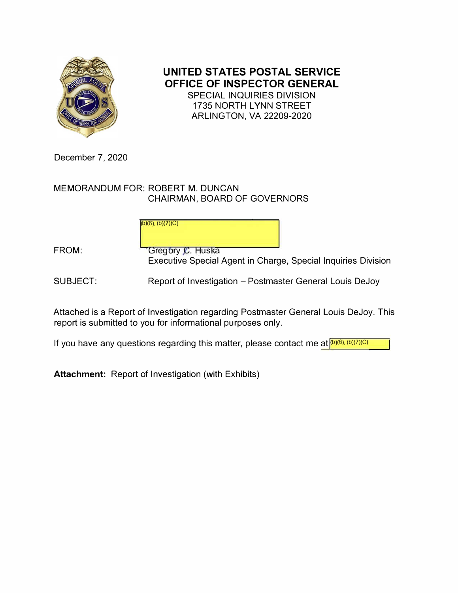

**UNITED STATES POSTAL SERVICE OFFICE OF INSPECTOR GENERAL**  SPECIAL INQUIRIES DIVISION 1735 NORTH LYNN STREET ARLINGTON, VA 22209-2020

December 7, 2020

MEMORANDUM FOR: ROBERT M. DUNCAN CHAIRMAN, BOARD OF GOVERNORS

> b)(6); (b)(**7**)(C) ( (

FROM: **FROM:** Gregory C. Huska Executive Special Agent in Charge, Special Inquiries Division

SUBJECT: Report of Investigation - Postmaster General Louis DeJoy

Attached is a Report of Investigation regarding Postmaster General Louis DeJoy. This report is submitted to you for informational purposes only.

If you have any questions regarding this matter, please contact me at **[b)(6)**; (b)(7)(C) (

**Attachment:** Report of Investigation (with Exhibits)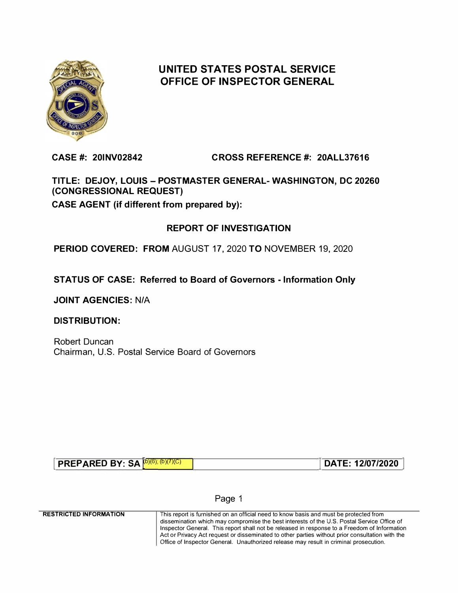

# **UNITED STATES POSTAL SERVICE OFFICE OF INSPECTOR GENERAL**

**CASE#: 20INV02842 CROSS REFERENCE #: 20ALL37616** 

**TITLE: DEJOY, LOUIS - POSTMASTER GENERAL- WASHINGTON, DC 20260 (CONGRESSIONAL REQUEST) CASE AGENT (if different from prepared by):** 

# **REPORT OF INVESTIGATION**

**PERIOD COVERED: FROM** AUGUST 17, 2020 **TO** NOVEMBER 19, 2020

**STATUS OF CASE: Referred to Board of Governors - Information Only** 

**JOINT AGENCIES:** N/A

**DISTRIBUTION:** 

Robert Duncan Chairman, U.S. Postal Service Board of Governors

| <b>PREPARED BY: SA (D)(6);</b> | DATE: 12/07/2020 |
|--------------------------------|------------------|
|--------------------------------|------------------|

### Page 1

**RESTRICTED INFORMATION**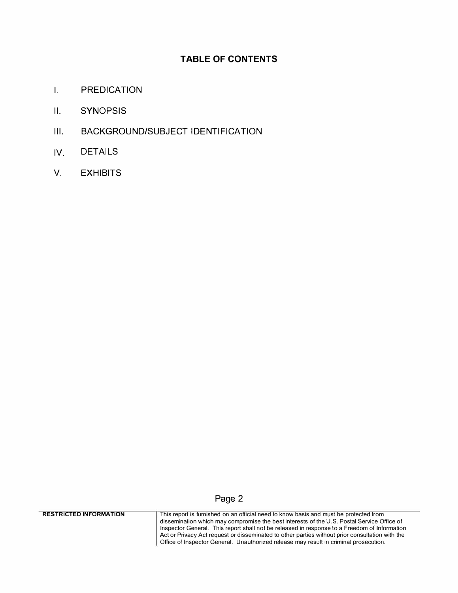## **TABLE OF CONTENTS**

- **I. PREDICATION**
- **II. SYNOPSIS**
- **Ill. BACKGROUND/SUBJECT IDENTIFICATION**
- **IV. DETAILS**
- **V. EXHIBITS**

## **Page 2**

**RESTRICTED INFORMATION**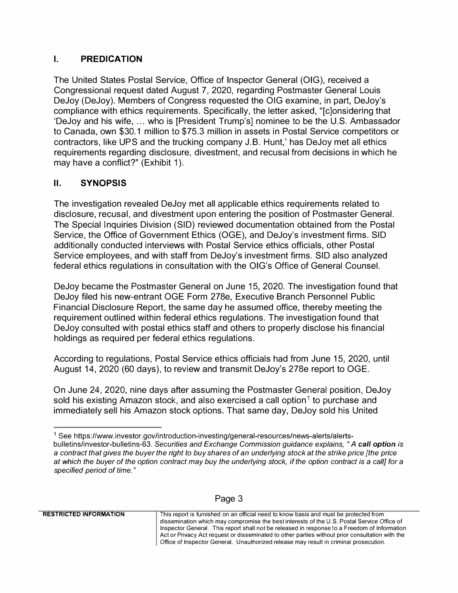## **I. PREDICATION**

The United States Postal Service, Office of Inspector General (OIG), received a Congressional request dated August 7, 2020, regarding Postmaster General Louis DeJoy (DeJoy). Members of Congress requested the OIG examine, in part, DeJoy's compliance with ethics requirements. Specifically, the letter asked, "[c]onsidering that 'DeJoy and his wife, ... who is [President Trump's] nominee to be the U.S. Ambassador to Canada, own \$30.1 million to \$75.3 million in assets in Postal Service competitors or contractors, like UPS and the trucking company J.B. Hunt,' has DeJoy met all ethics requirements regarding disclosure, divestment, and recusal from decisions in which he may have a conflict?" (Exhibit 1).

# **II. SYNOPSIS**

The investigation revealed DeJoy met all applicable ethics requirements related to disclosure, recusal, and divestment upon entering the position of Postmaster General. The Special Inquiries Division (SID) reviewed documentation obtained from the Postal Service, the Office of Government Ethics (OGE), and DeJoy's investment firms. SID additionally conducted interviews with Postal Service ethics officials, other Postal Service employees, and with staff from DeJoy's investment firms. SID also analyzed federal ethics regulations in consultation with the OIG's Office of General Counsel.

DeJoy became the Postmaster General on June 15, 2020. The investigation found that DeJoy filed his new-entrant OGE Form 278e, Executive Branch Personnel Public Financial Disclosure Report, the same day he assumed office, thereby meeting the requirement outlined within federal ethics regulations. The investigation found that DeJoy consulted with postal ethics staff and others to properly disclose his financial holdings as required per federal ethics regulations.

According to regulations, Postal Service ethics officials had from June 15, 2020, until August 14, 2020 (60 days), to review and transmit DeJoy's 278e report to OGE.

On June 24, 2020, nine days after assuming the Postmaster General position, DeJoy sold his existing Amazon stock, and also exercised a call option<sup>1</sup> to purchase and immediately sell his Amazon stock options. That same day, DeJoy sold his United

**<sup>1</sup>** See https://www.investor.gov/introduction-investing/general-resources/news-alerts/alertsbulletins/investor-bulletins-63. *Securities and Exchange Commission guidance explains, "A call option is*  **a** *contract that gives the buyer the right to buy shares of an underlying stock at the strike price [the price at which the buyer of the option contract may buy the underlying stock, if the option contract is* **a** *call] for* **a** *specified period of time."* 

| age |  |
|-----|--|
|-----|--|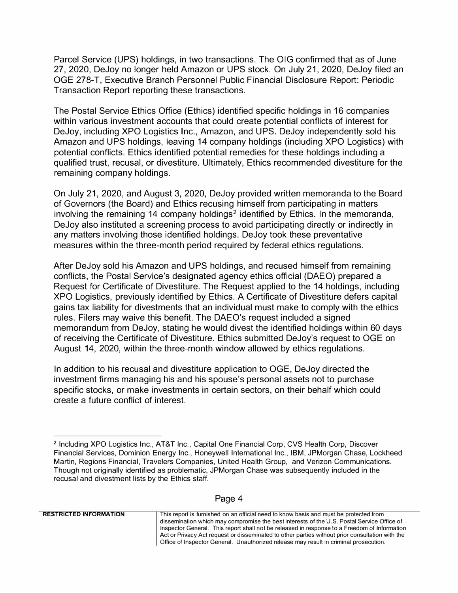Parcel Service (UPS) holdings, in two transactions. The OIG confirmed that as of June 27, 2020, DeJoy no longer held Amazon or UPS stock. On July 21, 2020, DeJoy filed an OGE 278-T, Executive Branch Personnel Public Financial Disclosure Report: Periodic Transaction Report reporting these transactions.

The Postal Service Ethics Office (Ethics) identified specific holdings in 16 companies within various investment accounts that could create potential conflicts of interest for DeJoy, including XPO Logistics Inc., Amazon, and UPS. DeJoy independently sold his Amazon and UPS holdings, leaving 14 company holdings (including XPO Logistics) with potential conflicts. Ethics identified potential remedies for these holdings including a qualified trust, recusal, or divestiture. Ultimately, Ethics recommended divestiture for the remaining company holdings.

On July 21, 2020, and August 3, 2020, DeJoy provided written memoranda to the Board of Governors (the Board) and Ethics recusing himself from participating in matters involving the remaining 14 company holdings<sup>2</sup> identified by Ethics. In the memoranda, DeJoy also instituted a screening process to avoid participating directly or indirectly in any matters involving those identified holdings. DeJoy took these preventative measures within the three-month period required by federal ethics regulations.

After DeJoy sold his Amazon and UPS holdings, and recused himself from remaining conflicts, the Postal Service's designated agency ethics official (DAEO) prepared a Request for Certificate of Divestiture. The Request applied to the 14 holdings, including XPO Logistics, previously identified by Ethics. A Certificate of Divestiture defers capital gains tax liability for divestments that an individual must make to comply with the ethics rules. Filers may waive this benefit. The DAEO's request included a signed memorandum from DeJoy, stating he would divest the identified holdings within 60 days of receiving the Certificate of Divestiture. Ethics submitted DeJoy's request to OGE on August 14, 2020, within the three-month window allowed by ethics regulations.

In addition to his recusal and divestiture application to OGE, DeJoy directed the investment firms managing his and his spouse's personal assets not to purchase specific stocks, or make investments in certain sectors, on their behalf which could create a future conflict of interest.

#### Page 4

**RESTRICTED INFORMATION** 

<sup>2</sup> Including XPO Logistics Inc., AT&T Inc., Capital One Financial Corp, CVS Health Corp, Discover Financial Services, Dominion Energy Inc., Honeywell International Inc., IBM, JPMorgan Chase, Lockheed Martin, Regions Financial, Travelers Companies, United Health Group, and Verizon Communications. Though not originally identified as problematic, JPMorgan Chase was subsequently included in the recusal and divestment lists by the Ethics staff.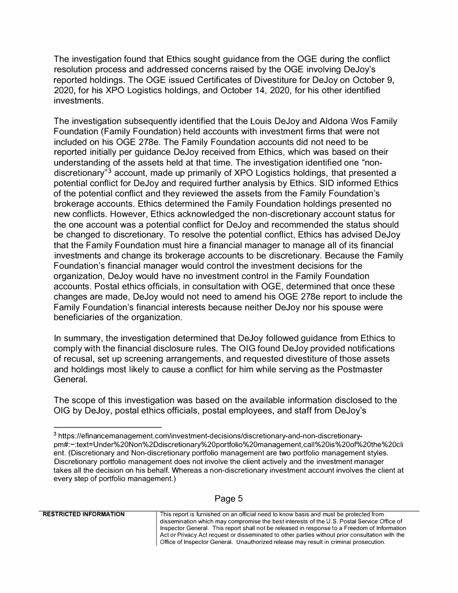The investigation found that Ethics sought guidance from the OGE during the conflict resolution process and addressed concerns raised by the OGE involving DeJoy's reported holdings. The OGE issued Certificates of Divestiture for DeJoy on October 9, 2020, for his XPO Logistics holdings, and October 14, 2020, for his other identified investments.

The investigation subsequently identified that the Louis DeJoy and Aldana Wos Family Foundation (Family Foundation) held accounts with investment firms that were not included on his OGE 278e. The Family Foundation accounts did not need to be reported initially per guidance DeJoy received from Ethics, which was based on their understanding of the assets held at that time. The investigation identified one "nondiscretionary"<sup>3</sup> account, made up primarily of XPO Logistics holdings, that presented a potential conflict for DeJoy and required further analysis by Ethics. SID informed Ethics of the potential conflict and they reviewed the assets from the Family Foundation's brokerage accounts. Ethics determined the Family Foundation holdings presented no new conflicts. However, Ethics acknowledged the non-discretionary account status for the one account was a potential conflict for DeJoy and recommended the status should be changed to discretionary. To resolve the potential conflict, Ethics has advised DeJoy that the Family Foundation must hire a financial manager to manage all of its financial investments and change its brokerage accounts to be discretionary. Because the Family Foundation's financial manager would control the investment decisions for the organization, DeJoy would have no investment control in the Family Foundation accounts. Postal ethics officials, in consultation with OGE, determined that once these changes are made, DeJoy would not need to amend his OGE 278e report to include the Family Foundation's financial interests because neither DeJoy nor his spouse were beneficiaries of the organization.

In summary, the investigation determined that DeJoy followed guidance from Ethics to comply with the financial disclosure rules. The OIG found DeJoy provided notifications of recusal, set up screening arrangements, and requested divestiture of those assets and holdings most likely to cause a conflict for him while serving as the Postmaster General.

The scope of this investigation was based on the available information disclosed to the OIG by DeJoy, postal ethics officials, postal employees, and staff from DeJoy's

# Page 5

**<sup>3</sup>** https://efinancemanagement.com/investment-decisions/discretionary-and-non-discretionarypm#:-:text=Under%20Non%2Ddiscretionary%20portfolio%20management,call%20is%20of%20the%20cli ent. (Discretionary and Non-discretionary portfolio management are two portfolio management styles. Discretionary portfolio management does not involve the client actively and the investment manager takes all the decision on his behalf. Whereas a non-discretionary investment account involves the client at every step of portfolio management.)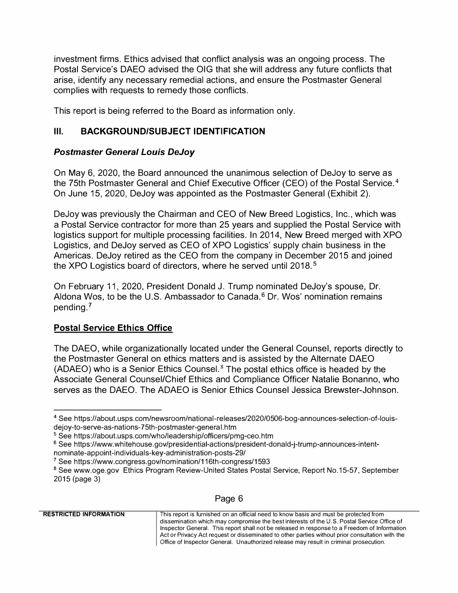investment firms. Ethics advised that conflict analysis was an ongoing process. The Postal Service's DAEO advised the OIG that she will address any future conflicts that arise, identify any necessary remedial actions, and ensure the Postmaster General complies with requests to remedy those conflicts.

This report is being referred to the Board as information only.

## **Ill. BACKGROUND/SUBJECT IDENTIFICATION**

## *Postmaster General Louis DeJoy*

On May 6, 2020, the Board announced the unanimous selection of DeJoy to serve as the 75th Postmaster General and Chief Executive Officer (CEO) of the Postal Service.<sup>4</sup> On June 15, 2020, DeJoy was appointed as the Postmaster General (Exhibit 2).

DeJoy was previously the Chairman and CEO of New Breed Logistics, Inc., which was a Postal Service contractor for more than 25 years and supplied the Postal Service with logistics support for multiple processing facilities. In 2014, New Breed merged with XPO Logistics, and DeJoy served as CEO of XPO Logistics' supply chain business in the Americas. DeJoy retired as the CEO from the company in December 2015 and joined the XPO Logistics board of directors, where he served until 2018. <sup>5</sup>

On February 11, 2020, President Donald J. Trump nominated DeJoy's spouse, Dr. Aldona Wos, to be the U.S. Ambassador to Canada.<sup>6</sup> Dr. Wos' nomination remains pending. <sup>7</sup>

## **Postal Service Ethics Office**

The DAEO, while organizationally located under the General Counsel, reports directly to the Postmaster General on ethics matters and is assisted by the Alternate DAEO (ADAEO) who is a Senior Ethics Counsel.<sup>8</sup> The postal ethics office is headed by the Associate General Counsel/Chief Ethics and Compliance Officer Natalie Bonanno, who serves as the DAEO. The ADAEO is Senior Ethics Counsel Jessica Brewster-Johnson.

<sup>&</sup>lt;sup>8</sup> See www.oge.gov Ethics Program Review-United States Postal Service, Report No.15-57, September 2015 (page 3)

| This report is furnished on an official need to know basis and must be protected from           |
|-------------------------------------------------------------------------------------------------|
| dissemination which may compromise the best interests of the U.S. Postal Service Office of      |
| Inspector General. This report shall not be released in response to a Freedom of Information    |
| Act or Privacy Act request or disseminated to other parties without prior consultation with the |
| Office of Inspector General. Unauthorized release may result in criminal prosecution.           |
|                                                                                                 |

**<sup>4</sup>** See https://about.usps.com/newsroom/national-releases/2020/0506-bog-announces-selection-of-louisdejoy-to-serve-as-nations-7 5th-postmaster-genera I. htm

<sup>&</sup>lt;sup>5</sup> See https://about.usps.com/who/leadership/officers/pmg-ceo.htm

<sup>&</sup>lt;sup>6</sup> See https://www.whitehouse.gov/presidential-actions/president-donald-j-trump-announces-intentnominate-appoint-individuals-key-administration-posts-29/

**<sup>7</sup>**See https://www.congress.gov/nomination/116th-congress/1593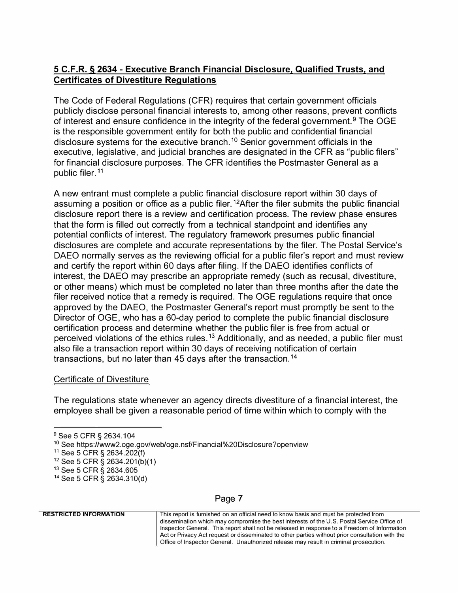# **5 C.F.R. § 2634 - Executive Branch Financial Disclosure, Qualified Trusts, and Certificates of Divestiture Regulations**

The Code of Federal Regulations (CFR) requires that certain government officials publicly disclose personal financial interests to, among other reasons, prevent conflicts of interest and ensure confidence in the integrity of the federal government.<sup>9</sup> The OGE is the responsible government entity for both the public and confidential financial disclosure systems for the executive branch.<sup>10</sup> Senior government officials in the executive, legislative, and judicial branches are designated in the CFR as "public filers" for financial disclosure purposes. The CFR identifies the Postmaster General as a public filer. <sup>11</sup>

A new entrant must complete a public financial disclosure report within 30 days of assuming a position or office as a public filer.<sup>12</sup>After the filer submits the public financial disclosure report there is a review and certification process. The review phase ensures that the form is filled out correctly from a technical standpoint and identifies any potential conflicts of interest. The regulatory framework presumes public financial disclosures are complete and accurate representations by the filer. The Postal Service's DAEO normally serves as the reviewing official for a public filer's report and must review and certify the report within 60 days after filing. If the DAEO identifies conflicts of interest, the DAEO may prescribe an appropriate remedy (such as recusal, divestiture, or other means) which must be completed no later than three months after the date the filer received notice that a remedy is required. The OGE regulations require that once approved by the DAEO, the Postmaster General's report must promptly be sent to the Director of OGE, who has a 60-day period to complete the public financial disclosure certification process and determine whether the public filer is free from actual or perceived violations of the ethics rules.<sup>13</sup> Additionally, and as needed, a public filer must also file a transaction report within 30 days of receiving notification of certain transactions, but no later than 45 days after the transaction.<sup>14</sup>

### Certificate of Divestiture

The regulations state whenever an agency directs divestiture of a financial interest, the employee shall be given a reasonable period of time within which to comply with the

#### This report is furnished on an official need to know basis and must be protected from dissemination which may compromise the best interests of the U.S. Postal Service Office of Inspector General. This report shall not be released in response to a Freedom of Information Act or Privacy Act request or disseminated to other parties without prior consultation with the Office of Inspector General. Unauthorized release may result in criminal prosecution.

## Page 7

**RESTRICTED INFORMATION** 

<sup>&</sup>lt;sup>9</sup> See 5 CFR § 2634.104

**<sup>10</sup>**See https://www2.oge.gov/web/oge.nsf/Financial%20Disclosure?openview

**<sup>11</sup>**See 5 CFR § 2634.202(f)

**<sup>12</sup>**See 5 CFR § 2634.201(b)(1)

<sup>13</sup> See 5 CFR § 2634.605

<sup>14</sup> See 5 CFR § 2634.310(d)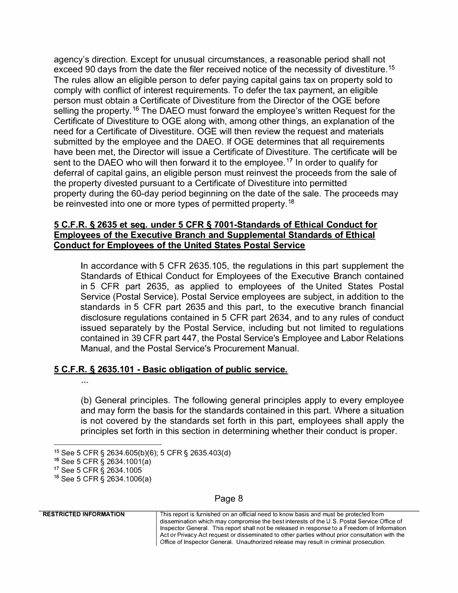agency's direction. Except for unusual circumstances, a reasonable period shall not exceed 90 days from the date the filer received notice of the necessity of divestiture.<sup>15</sup> The rules allow an eligible person to defer paying capital gains tax on property sold to comply with conflict of interest requirements. To defer the tax payment, an eligible person must obtain a Certificate of Divestiture from the Director of the OGE before selling the property.<sup>16</sup> The DAEO must forward the employee's written Request for the Certificate of Divestiture to OGE along with, among other things, an explanation of the need for a Certificate of Divestiture. OGE will then review the request and materials submitted by the employee and the DAEO. If OGE determines that all requirements have been met, the Director will issue a Certificate of Divestiture. The certificate will be sent to the DAEO who will then forward it to the employee.<sup>17</sup> In order to qualify for deferral of capital gains, an eligible person must reinvest the proceeds from the sale of the property divested pursuant to a Certificate of Divestiture into permitted property during the 60-day period beginning on the date of the sale. The proceeds may be reinvested into one or more types of permitted property.<sup>18</sup>

#### **5 C.F.R. § 2635 et seq. under 5 CFR § 7001-Standards of Ethical Conduct for Employees of the Executive Branch and Supplemental Standards of Ethical Conduct for Employees of the United States Postal Service**

In accordance with 5 CFR 2635.105, the regulations in this part supplement the Standards of Ethical Conduct for Employees of the Executive Branch contained in 5 CFR part 2635, as applied to employees of the United States Postal Service (Postal Service). Postal Service employees are subject, in addition to the standards in 5 CFR part 2635 and this part, to the executive branch financial disclosure regulations contained in 5 CFR part 2634, and to any rules of conduct issued separately by the Postal Service, including but not limited to regulations contained in 39 CFR part 447, the Postal Service's Employee and Labor Relations Manual, and the Postal Service's Procurement Manual.

### **5 C.F.R. § 2635.101 - Basic obligation of public service.**

...

(b) General principles. The following general principles apply to every employee and may form the basis for the standards contained in this part. Where a situation is not covered by the standards set forth in this part, employees shall apply the principles set forth in this section in determining whether their conduct is proper.

Page 8

**RESTRICTED INFORMATION** 

**<sup>15</sup>**See 5 CFR § 2634.605(b)(6); 5 CFR § 2635.403(d)

**<sup>16</sup>**See 5 CFR § 2634.1001(a)

<sup>17</sup>See 5 CFR § 2634.1005

<sup>&</sup>lt;sup>18</sup> See 5 CFR § 2634.1006(a)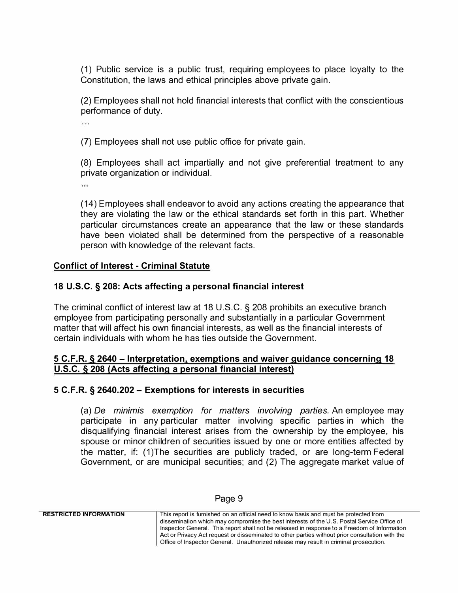(1) Public service is a public trust, requiring employees to place loyalty to the Constitution, the laws and ethical principles above private gain.

(2) Employees shall not hold financial interests that conflict with the conscientious performance of duty.

a a s

(7) Employees shall not use public office for private gain.

(8) Employees shall act impartially and not give preferential treatment to any private organization or individual.

.<br>Historia

(14) Employees shall endeavor to avoid any actions creating the appearance that they are violating the law or the ethical standards set forth in this part. Whether particular circumstances create an appearance that the law or these standards have been violated shall be determined from the perspective of a reasonable person with knowledge of the relevant facts.

## **Conflict of Interest - Criminal Statute**

## **18 U.S.C. § 208: Acts affecting a personal financial interest**

The criminal conflict of interest law at 18 U.S.C. § 208 prohibits an executive branch employee from participating personally and substantially in a particular Government matter that will affect his own financial interests, as well as the financial interests of certain individuals with whom he has ties outside the Government.

### **5 C.F.R. § 2640 - Interpretation, exemptions and waiver guidance concerning 18 U.S.C. § 208 (Acts affecting a personal financial interest)**

### **5 C.F.R. § 2640.202 - Exemptions for interests in securities**

(a) *De minimis exemption for matters involving parties.* An employee may participate in any particular matter involving specific parties in which the disqualifying financial interest arises from the ownership by the employee, his spouse or minor children of securities issued by one or more entities affected by the matter, if: (1 )The securities are publicly traded, or are long-term Federal Government, or are municipal securities; and (2) The aggregate market value of

| <b>RESTRICTED INFORMATION</b> | This report is furnished on an official need to know basis and must be protected from           |
|-------------------------------|-------------------------------------------------------------------------------------------------|
|                               | dissemination which may compromise the best interests of the U.S. Postal Service Office of      |
|                               | Inspector General. This report shall not be released in response to a Freedom of Information    |
|                               | Act or Privacy Act request or disseminated to other parties without prior consultation with the |
|                               | Office of Inspector General. Unauthorized release may result in criminal prosecution.           |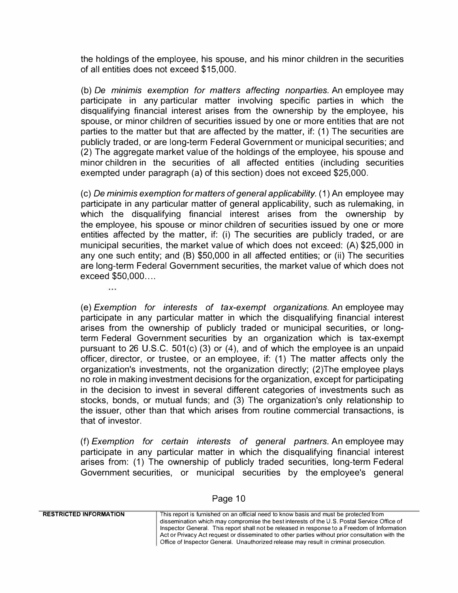the holdings of the employee, his spouse, and his minor children in the securities of all entities does not exceed \$15,000.

(b) *Oe minimis exemption for matters affecting nonparties.* An employee may participate in any particular matter involving specific parties in which the disqualifying financial interest arises from the ownership by the employee, his spouse, or minor children of securities issued by one or more entities that are not parties to the matter but that are affected by the matter, if: (1) The securities are publicly traded, or are long-term Federal Government or municipal securities; and (2) The aggregate market value of the holdings of the employee, his spouse and minor children in the securities of all affected entities (including securities exempted under paragraph (a) of this section) does not exceed \$25,000.

( c) *De minim is exemption for matters of general applicability.* ( 1) An employee may participate in any particular matter of general applicability, such as rulemaking, in which the disqualifying financial interest arises from the ownership by the employee, his spouse or minor children of securities issued by one or more entities affected by the matter, if: (i) The securities are publicly traded, or are municipal securities, the market value of which does not exceed: (A) \$25,000 in any one such entity; and (B) \$50,000 in all affected entities; or (ii) The securities are long-term Federal Government securities, the market value of which does not exceed \$50,000....

محد

(e) *Exemption for interests of tax-exempt organizations.* An employee may participate in any particular matter in which the disqualifying financial interest arises from the ownership of publicly traded or municipal securities, or longterm Federal Government securities by an organization which is tax-exempt pursuant to 26 U.S.C. 501(c) (3) or (4), and of which the employee is an unpaid officer, director, or trustee, or an employee, if: (1) The matter affects only the organization's investments, not the organization directly; (2}The employee plays no role in making investment decisions for the organization, except for participating in the decision to invest in several different categories of investments such as stocks, bonds, or mutual funds; and (3) The organization's only relationship to the issuer, other than that which arises from routine commercial transactions, is that of investor.

(f) *Exemption for certain interests of general partners.* An employee may participate in any particular matter in which the disqualifying financial interest arises from: (1) The ownership of publicly traded securities, long-term Federal Government securities, or municipal securities by the employee's general

| <b>RESTRICTED INFORMATION</b> | This report is furnished on an official need to know basis and must be protected from           |
|-------------------------------|-------------------------------------------------------------------------------------------------|
|                               | dissemination which may compromise the best interests of the U.S. Postal Service Office of      |
|                               | Inspector General. This report shall not be released in response to a Freedom of Information    |
|                               | Act or Privacy Act request or disseminated to other parties without prior consultation with the |
|                               | Office of Inspector General. Unauthorized release may result in criminal prosecution.           |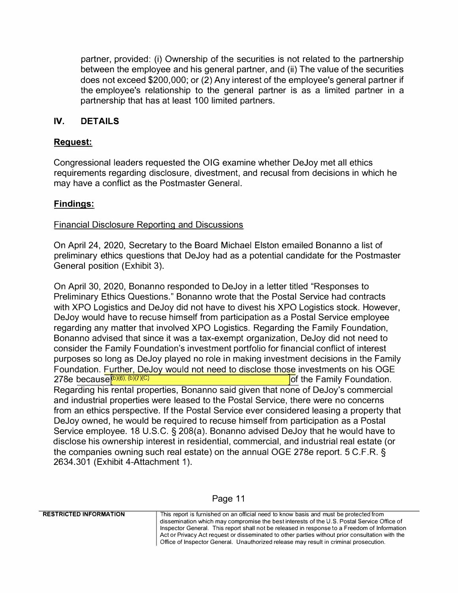partner, provided: (i) Ownership of the securities is not related to the partnership between the employee and his general partner, and (ii) The value of the securities does not exceed \$200,000; or (2) Any interest of the employee's general partner if the employee's relationship to the general partner is as a limited partner in a partnership that has at least 100 limited partners.

## **IV. DETAILS**

## **Request:**

Congressional leaders requested the OIG examine whether DeJoy met all ethics requirements regarding disclosure, divestment, and recusal from decisions in which he may have a conflict as the Postmaster General.

### **Findings:**

### Financial Disclosure Reporting and Discussions

On April 24, 2020, Secretary to the Board Michael Elston emailed Bonanno a list of preliminary ethics questions that DeJoy had as a potential candidate for the Postmaster General position (Exhibit 3).

On April 30, 2020, Bonanno responded to DeJoy in a letter titled "Responses to Preliminary Ethics Questions." Bonanno wrote that the Postal Service had contracts with XPO Logistics and DeJoy did not have to divest his XPO Logistics stock. However, DeJoy would have to recuse himself from participation as a Postal Service employee regarding any matter that involved XPO Logistics. Regarding the Family Foundation, Bonanno advised that since it was a tax-exempt organization, DeJoy did not need to consider the Family Foundation's investment portfolio for financial conflict of interest purposes so long as DeJoy played no role in making investment decisions in the Family Foundation. Further, DeJoy would not need to disclose those investments on his OGE 278e because $(6)(6)$ ;  $(b)(7)(C)$ lof the Family Foundation. Regarding his rental properties, Bonanno said given that none of DeJoy's commercial and industrial properties were leased to the Postal Service, there were no concerns from an ethics perspective. If the Postal Service ever considered leasing a property that DeJoy owned, he would be required to recuse himself from participation as a Postal Service employee. 18 U.S.C. § 208(a). Bonanno advised DeJoy that he would have to disclose his ownership interest in residential, commercial, and industrial real estate (or the companies owning such real estate) on the annual OGE 278e report. 5 C.F.R. § 2634.301 (Exhibit 4-Attachment 1 ).

#### Page 11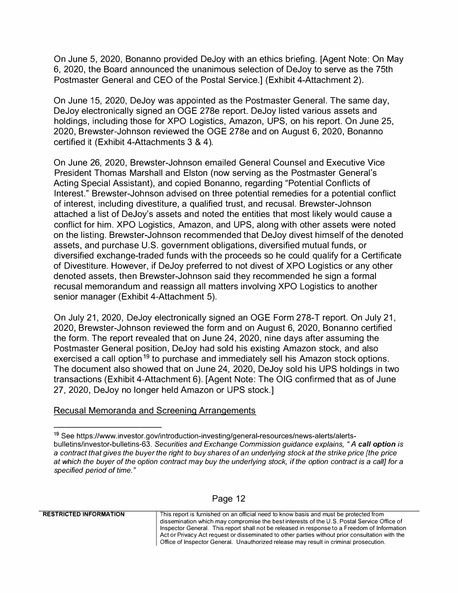On June 5, 2020, Bonanno provided DeJoy with an ethics briefing. [Agent Note: On May 6, 2020, the Board announced the unanimous selection of DeJoy to serve as the 75th Postmaster General and CEO of the Postal Service.] (Exhibit 4-Attachment 2).

On June 15, 2020, DeJoy was appointed as the Postmaster General. The same day, DeJoy electronically signed an OGE 278e report. DeJoy listed various assets and holdings, including those for XPO Logistics, Amazon, UPS, on his report. On June 25, 2020, Brewster-Johnson reviewed the OGE 278e and on August 6, 2020, Bonanno certified it (Exhibit 4-Attachments 3 & 4 ).

On June 26, 2020, Brewster-Johnson emailed General Counsel and Executive Vice President Thomas Marshall and Elston (now serving as the Postmaster General's Acting Special Assistant), and copied Bonanno, regarding "Potential Conflicts of Interest." Brewster-Johnson advised on three potential remedies for a potential conflict of interest, including divestiture, a qualified trust, and recusal. Brewster-Johnson attached a list of DeJoy's assets and noted the entities that most likely would cause a conflict for him. XPO Logistics, Amazon, and UPS, along with other assets were noted on the listing. Brewster-Johnson recommended that DeJoy divest himself of the denoted assets, and purchase U.S. government obligations, diversified mutual funds, or diversified exchange-traded funds with the proceeds so he could qualify for a Certificate of Divestiture. However, if DeJoy preferred to not divest of XPO Logistics or any other denoted assets, then Brewster-Johnson said they recommended he sign a formal recusal memorandum and reassign all matters involving XPO Logistics to another senior manager (Exhibit 4-Attachment 5).

On July 21, 2020, DeJoy electronically signed an OGE Form 278-T report. On July 21, 2020, Brewster-Johnson reviewed the form and on August 6, 2020, Bonanno certified the form. The report revealed that on June 24, 2020, nine days after assuming the Postmaster General position, DeJoy had sold his existing Amazon stock, and also exercised a call option<sup>19</sup> to purchase and immediately sell his Amazon stock options. The document also showed that on June 24, 2020, DeJoy sold his UPS holdings in two transactions (Exhibit 4-Attachment 6). [Agent Note: The OIG confirmed that as of June 27, 2020, DeJoy no longer held Amazon or UPS stock.]

### Recusal Memoranda and Screening Arrangements

### Page 12

**<sup>19</sup>** See https://www.investor.gov/introduction-investing/general-resources/news-alerts/alertsbulletins/investor-bulletins-63. *Securities and Exchange Commission guidance explains, "A call option is*  **a** *contract that gives the buyer the right to buy shares of an underlying stock at the strike price [the price at which the buyer of the option contract may buy the underlying stock, if the option contract is* **a** *call] for* **a** *specified period of time."*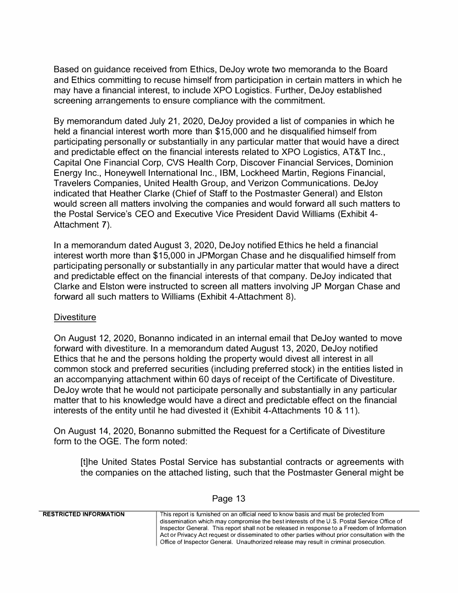Based on guidance received from Ethics, DeJoy wrote two memoranda to the Board and Ethics committing to recuse himself from participation in certain matters in which he may have a financial interest, to include XPO Logistics. Further, DeJoy established screening arrangements to ensure compliance with the commitment.

By memorandum dated July 21, 2020, DeJoy provided a list of companies in which he held a financial interest worth more than \$15,000 and he disqualified himself from participating personally or substantially in any particular matter that would have a direct and predictable effect on the financial interests related to XPO Logistics, AT&T Inc., Capital One Financial Corp, CVS Health Corp, Discover Financial Services, Dominion Energy Inc., Honeywell International Inc., IBM, Lockheed Martin, Regions Financial, Travelers Companies, United Health Group, and Verizon Communications. DeJoy indicated that Heather Clarke (Chief of Staff to the Postmaster General) and Elston would screen all matters involving the companies and would forward all such matters to the Postal Service's CEO and Executive Vice President David Williams (Exhibit 4- Attachment 7).

In a memorandum dated August 3, 2020, DeJoy notified Ethics he held a financial interest worth more than \$15,000 in JPMorgan Chase and he disqualified himself from participating personally or substantially in any particular matter that would have a direct and predictable effect on the financial interests of that company. DeJoy indicated that Clarke and Elston were instructed to screen all matters involving JP Morgan Chase and forward all such matters to Williams (Exhibit 4-Attachment 8).

### **Divestiture**

On August 12, 2020, Bonanno indicated in an internal email that DeJoy wanted to move forward with divestiture. In a memorandum dated August 13, 2020, DeJoy notified Ethics that he and the persons holding the property would divest all interest in all common stock and preferred securities (including preferred stock) in the entities listed in an accompanying attachment within 60 days of receipt of the Certificate of Divestiture. DeJoy wrote that he would not participate personally and substantially in any particular matter that to his knowledge would have a direct and predictable effect on the financial interests of the entity until he had divested it (Exhibit 4-Attachments 10 & 11).

On August 14, 2020, Bonanno submitted the Request for a Certificate of Divestiture form to the OGE. The form noted:

[t]he United States Postal Service has substantial contracts or agreements with the companies on the attached listing, such that the Postmaster General might be

| <b>RESTRICTED INFORMATION</b> | This report is furnished on an official need to know basis and must be protected from           |
|-------------------------------|-------------------------------------------------------------------------------------------------|
|                               | dissemination which may compromise the best interests of the U.S. Postal Service Office of      |
|                               | Inspector General. This report shall not be released in response to a Freedom of Information    |
|                               | Act or Privacy Act request or disseminated to other parties without prior consultation with the |
|                               | Office of Inspector General. Unauthorized release may result in criminal prosecution.           |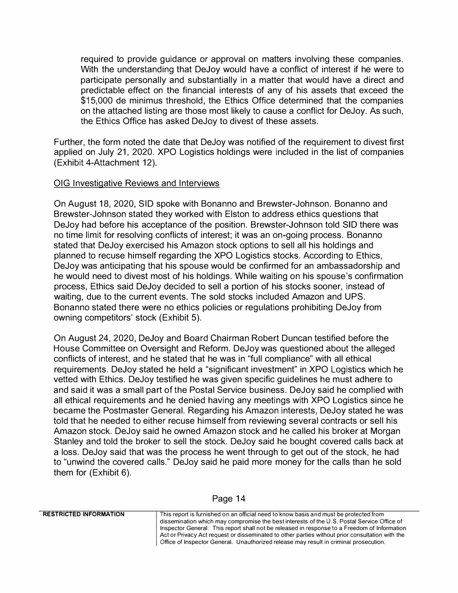required to provide guidance or approval on matters involving these companies. With the understanding that DeJoy would have a conflict of interest if he were to participate personally and substantially in a matter that would have a direct and predictable effect on the financial interests of any of his assets that exceed the \$15,000 de minimus threshold, the Ethics Office determined that the companies on the attached listing are those most likely to cause a conflict for DeJoy. As such, the Ethics Office has asked DeJoy to divest of these assets.

Further, the form noted the date that DeJoy was notified of the requirement to divest first applied on July 21, 2020. XPO Logistics holdings were included in the list of companies (Exhibit 4-Attachment 12).

#### OIG Investigative Reviews and Interviews

On August 18, 2020, SID spoke with Bonanno and Brewster-Johnson. Bonanno and Brewster-Johnson stated they worked with Elston to address ethics questions that DeJoy had before his acceptance of the position. Brewster-Johnson told SID there was no time limit for resolving conflicts of interest; it was an on-going process. Bonanno stated that DeJoy exercised his Amazon stock options to sell all his holdings and planned to recuse himself regarding the XPO Logistics stocks. According to Ethics, DeJoy was anticipating that his spouse would be confirmed for an ambassadorship and he would need to divest most of his holdings. While waiting on his spouse's confirmation process, Ethics said DeJoy decided to sell a portion of his stocks sooner, instead of waiting, due to the current events. The sold stocks included Amazon and UPS. Bonanno stated there were no ethics policies or regulations prohibiting DeJoy from owning competitors' stock (Exhibit 5).

On August 24, 2020, DeJoy and Board Chairman Robert Duncan testified before the House Committee on Oversight and Reform. DeJoy was questioned about the alleged conflicts of interest, and he stated that he was in "full compliance" with all ethical requirements. DeJoy stated he held a "significant investment" in XPO Logistics which he vetted with Ethics. DeJoy testified he was given specific guidelines he must adhere to and said it was a small part of the Postal Service business. DeJoy said he complied with all ethical requirements and he denied having any meetings with XPO Logistics since he became the Postmaster General. Regarding his Amazon interests, DeJoy stated he was told that he needed to either recuse himself from reviewing several contracts or sell his Amazon stock. DeJoy said he owned Amazon stock and he called his broker at Morgan Stanley and told the broker to sell the stock. DeJoy said he bought covered calls back at a loss. DeJoy said that was the process he went through to get out of the stock, he had to "unwind the covered calls." DeJoy said he paid more money for the calls than he sold them for (Exhibit 6).

| Page 14 |  |  |
|---------|--|--|
|---------|--|--|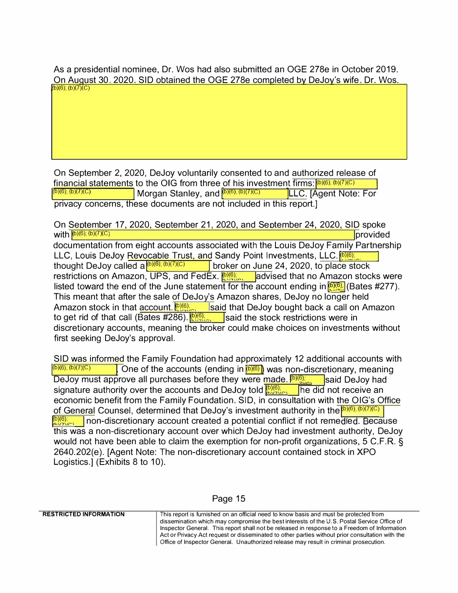As a presidential nominee, Dr. Wos had also submitted an OGE 278e in October 2019. On August 30, 2020. SID obtained the OGE 278e completed by DeJoy's wife. Dr. Wos. �b)(6); (b)(7)(C)

On September 2, 2020, DeJoy voluntarily consented to and authorized release of financial statements to the OIG from three of his investment firms:  $\frac{(b)(6)}{(b)(6)}$ ;  $\frac{(b)(7)}{(C)}$  ICD,  $\frac{(b)(7)}{(C)}$  ICD,  $\frac{(c)}{(D)(6)}$ ;  $\frac{(b)(7)}{(C)}$  ICD,  $\frac{(c)}{(D)(6)}$ ;  $\frac{(c)}{(D)(6)}$ ;  $\frac{(c)}{(D)(6)}$ ;  $\frac{(c)}{(D)(6)}$ ;  $\frac{(d)}{(D)(6)}$ ; (b)(6); (b)(7)(C) Morgan Stanley, and <sup>(b)(6); (b)(7)(C) LLC. [Agent Note: For</sup> privacy concerns, these documents are not included in this report.]

On September 17, 2020, September 21, 2020, and September 24, 2020, SID spoke with  $\frac{p(x)}{p(x)}$ ; (b)(7)(c) provided documentation from eight accounts associated with the Louis DeJoy Family Partnership LLC, Louis DeJoy Revocable Trust, and Sandy Point Investments, LLC.<sup>[b](6)</sup>; thought DeJoy called a <sup>(b)(6); (b)(7)(c)</sup> **broker on June 24, 2020, to place stock** restrictions on Amazon, UPS, and FedEx.  $\frac{[D, (6)]}{[D, (9)]}\$  advised that no Amazon stocks were listed toward the end of the June statement for the account ending in  $\frac{[D(G)]}{[D(G)]}$  (Bates #277). This meant that after the sale of DeJoy's Amazon shares, DeJoy no longer held Amazon stock in that account.<sup>[0] (6)</sup> said that DeJoy bought back a call on Amazon to get rid of that call (Bates #286). , **i** isaid that DeJoy bought back a call on<br>**b**<sup>(6),</sup> said the stock restrictions were in discretionary accounts, meaning the broker could make choices on investments without first seeking DeJoy's approval.

SID was informed the Family Foundation had approximately 12 additional accounts with  $\frac{1}{\left|D(6), (b)\right|}/\left|D(7), (c)\right|$ Cone of the accounts (ending in  $(6)(6)$ ) was non-discretionary, meaning DeJoy must approve all purchases before they were made.  $(b)(6)$ said DeJoy had signature authority over the accounts and DeJoy told  $\frac{[b](6)}{[b](2)(c)}$  he did not receive an economic benefit from the Family Foundation. SID, in consultation with the OIG's Office of General Counsel, determined that DeJoy's investment authority in the <sup>(b)(6)</sup>; (b)(7)(C) bi6); non-discretionary account created a potential conflict if not remedied. Because this was a non-discretionary account over which DeJoy had investment authority, DeJoy would not have been able to claim the exemption for non-profit organizations, 5 C.F.R. § 2640.202(e). [Agent Note: The non-discretionary account contained stock in XPO Logistics.] (Exhibits 8 to 10).

#### Page 15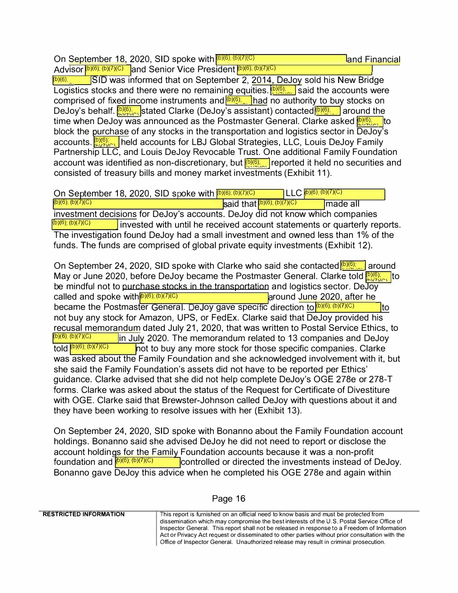On <mark>September 18,</mark> 2020, SID spoke with <mark>(6)(6), (6)(7</mark> land Financial

Advisor (b)(6); (b)(7)(C) and Senior Vice President (b)(6); (b)(7)(C)<br>(b)(6); SID was informed that on September 2, 2014. **SID** was informed that on September 2, 2014, DeJoy sold his New Bridge Logistics stocks and there were no remaining equities.  $\left[\frac{\mathbf{b}}{\mathbf{c}}\right]$  said the accounts were comprised of fixed income instruments and **DIONS THE 10 authority to buy stocks on** DeJoy's behalf. <mark>DIO), s</mark>tated Clarke (DeJoy's assistant) contacted<mark>l@@, , around the</mark> time when DeJoy was announced as the Postmaster General. Clarke asked  $\frac{10}{2}$ , to block the purchase of any stocks in the transportation and logistics sector in DeJoy's  $\frac{|\mathbf{D}|(\mathbf{G})|}{|\mathbf{G}|}$ , held accounts for LBJ Global Strategies, LLC, Louis DeJoy Family Partnership LLC, and Louis DeJoy Revocable Trust. One additional Family Foundation account was identified as non-discretionary, but  $\sqrt{\Omega(\Omega)}$ , reported it held no securities and consisted of treasury bills and money market investments (Exhibit 11 ).

On September 18, 2020, SID spoke with <mark>(b)(6); (b)(7)(C)</mark><br>(b)(6); (b)(7)(C)  $\frac{\left| \text{Said that} \right|^{(b)(6); (b)(7)(C)}}{\left| \text{made all} \right|}$ investment decisions for DeJoy's accounts. DeJoy did not know which companies  $\frac{[b](6)}{[b](6)}$ ;  $(b)(7)(C)$  invested with until he received account statements or quarterly reports. The investigation found DeJoy had a small investment and owned less than 1% of the funds. The funds are comprised of global private equity investments (Exhibit 12).  $LLC$  $(b)(6)$ ;  $(b)(7)(C)$ 

On September 24, 2020, SID spoke with Clarke who said she contacted **big around** May or June 2020, before DeJoy became the Postmaster General. Clarke told  $\frac{|\Phi\rangle(\theta)}{|\Phi\rangle(\theta)}$  to be mindful not to purchase stocks in the transportation and logistics sector. DeJoy called and spoke with  $(b)(6)$ ;  $(b)(7)(C)$  and  $C$  around June 2020, after he became the Postmaster General. DeJoy gave specific direction to  $(6)(6)$ ; (b)(7)(C) it only to not buy any stock for Amazon, UPS, or FedEx. Clarke said that DeJoy provided his recusal memorandum dated July 21, 2020, that was written to Postal Service Ethics, to<br>(b)(6), (b)(7)(C) [in July 2020] The memorandum related to 13 companies and De Joy (b)(6); (b)(7)(C) in July 2020. The memorandum related to 13 companies and DeJoy<br>told <sup>(b)(6); (b)(7)(C) in the buview any more stock for those specific companies. Clarke</sup> not to buy any more stock for those specific companies. Clarke was asked about the Family Foundation and she acknowledged involvement with it, but she said the Family Foundation's assets did not have to be reported per Ethics' guidance. Clarke advised that she did not help complete DeJoy's OGE 278e or 278-T forms. Clarke was asked about the status of the Request for Certificate of Divestiture with OGE. Clarke said that Brewster-Johnson called DeJoy with questions about it and they have been working to resolve issues with her (Exhibit 13).

On September 24, 2020, SID spoke with Bonanno about the Family Foundation account holdings. Bonanno said she advised DeJoy he did not need to report or disclose the account holdings for the Family Foundation accounts because it was a non-profit foundation and  $\frac{[D(G), (D)](C)}{C}$  controlled or directed the investments instead of l controlled or directed the investments instead of DeJoy. Bonanno gave DeJoy this advice when he completed his OGE 278e and again within

#### Page 16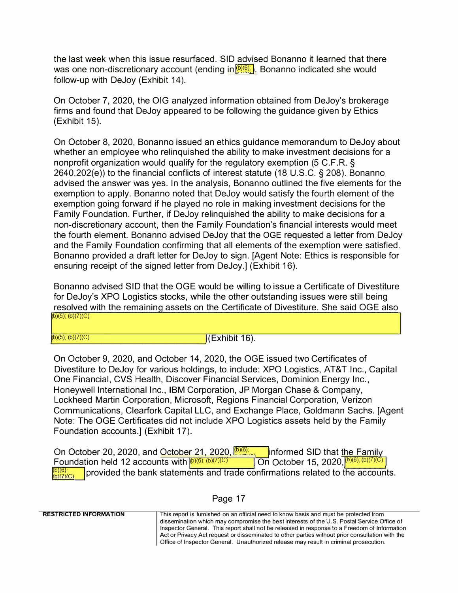the last week when this issue resurfaced. SID advised Bonanno it learned that there was one non-discretionary account (ending in $\binom{[0](0)}{[1]}$ . Bonanno indicated she would follow-up with DeJoy (Exhibit 14).

On October 7, 2020, the OIG analyzed information obtained from DeJoy's brokerage firms and found that DeJoy appeared to be following the guidance given by Ethics (Exhibit 15).

On October 8, 2020, Bonanno issued an ethics guidance memorandum to DeJoy about whether an employee who relinquished the ability to make investment decisions for a nonprofit organization would qualify for the regulatory exemption (5 C.F.R. § 2640.202(e)) to the financial conflicts of interest statute (18 U.S.C. § 208). Bonanno advised the answer was yes. In the analysis, Bonanno outlined the five elements for the exemption to apply. Bonanno noted that DeJoy would satisfy the fourth element of the exemption going forward if he played no role in making investment decisions for the Family Foundation. Further, if DeJoy relinquished the ability to make decisions for a non-discretionary account, then the Family Foundation's financial interests would meet the fourth element. Bonanno advised DeJoy that the OGE requested a letter from DeJoy and the Family Foundation confirming that all elements of the exemption were satisfied. Bonanno provided a draft letter for DeJoy to sign. [Agent Note: Ethics is responsible for ensuring receipt of the signed letter from DeJoy.] (Exhibit 16).

Bonanno advised SID that the OGE would be willing to issue a Certificate of Divestiture for DeJoy's XPO Logistics stocks, while the other outstanding issues were still being resolved with the remaining assets on the Certificate of Divestiture. She said OGE also  $(b)(5)$ ;  $(b)(7)(C)$ 

(b)(5); (b)(7)(C)  $|E \rangle$  (b)(5); (b)(7)(C)

On October 9, 2020, and October 14, 2020, the OGE issued two Certificates of Divestiture to DeJoy for various holdings, to include: XPO Logistics, AT&T Inc., Capital One Financial, CVS Health, Discover Financial Services, Dominion Energy Inc., Honeywell International Inc., IBM Corporation, JP Morgan Chase & Company, Lockheed Martin Corporation, Microsoft, Regions Financial Corporation, Verizon Communications, Clearfork Capital LLC, and Exchange Place, Goldmann Sachs. [Agent Note: The OGE Certificates did not include XPO Logistics assets held by the Family Foundation accounts.] (Exhibit 17).

On October 20, 2020, and October 21, 2020, **(b) (6)**; **Informed SID that the Family** Foundation held 12 accounts with  $\frac{D(\widehat{G})}{D(\widehat{G})}$  $\frac{(7)(C)}{(D)(C)}$  On October 15, 2020,  $\frac{(b)(6)(b)(7)(C)}{(D)(7)(C)}$  $\frac{b}{b}$ <sup>i $\frac{b}{c}$ </sup>  $\frac{c}{c}$  provided the bank statements and trade confirmations related to the accounts.

#### Page 17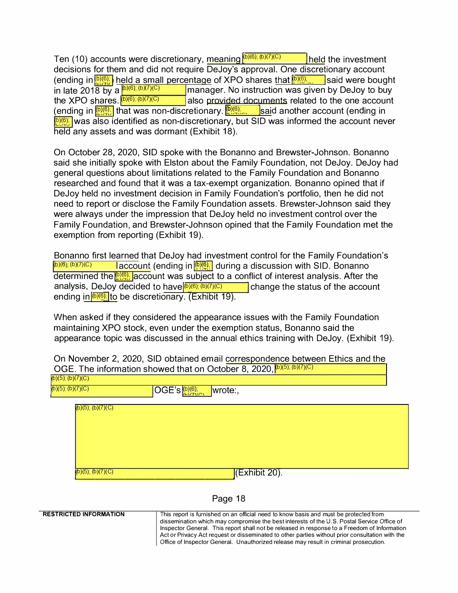Ten (10) accounts were discretionary, meaning  $\sqrt{\frac{(b)(6)}{(b)(7)(C)}}$  held the investment decisions for them and did not require DeJoy's approval. One discretionary account (ending in  $\frac{b}{2}$ ) held a small percentage of XPO shares that  $\frac{b}{2}$ , I said were bought in late 2018 by a  $\frac{b)(6)}{b}$ ;  $\frac{b}{c}$ ,  $\frac{c}{c}$  manager. No instruction was given by DeJoy to buy the XPO shares.  $(b)(6)$ ,  $(b)(7)(C)$ also provided documents related to the one account the Art of shares. **Franchistral and provided documents** related to the one account (ending in (ending in another account (ending in **p<sub>/0</sub>**) was also identified as non-discretionary, but SID was informed the account never held any assets and was dormant (Exhibit 18).

On October 28, 2020, SID spoke with the Bonanno and Brewster-Johnson. Bonanno said she initially spoke with Elston about the Family Foundation, not DeJoy. DeJoy had general questions about limitations related to the Family Foundation and Bonanno researched and found that it was a tax-exempt organization. Bonanno opined that if DeJoy held no investment decision in Family Foundation's portfolio, then he did not need to report or disclose the Family Foundation assets. Brewster-Johnson said they were always under the impression that DeJoy held no investment control over the Family Foundation, and Brewster-Johnson opined that the Family Foundation met the exemption from reporting (Exhibit 19).

Bonanno first learned that DeJoy had investment control for the Family Foundation's (b)(6); (b)(7)(C) account (ending in **D)(6);** during a discussion with SID. Bonanno determined the *p.***...** account was subject to a conflict of interest analysis. After the analysis, DeJoy decided to have  $\frac{p_0(p)}{p_0(p)}$  (b)(7)(C) analysis, be account analysis, DeJoy decided to have (b)(6); (b)(7)(C) ending in  $\frac{[D \setminus (6)]}{[D \setminus (6)]}$  to be discretionary. (Exhibit 19).

When asked if they considered the appearance issues with the Family Foundation maintaining XPO stock, even under the exemption status, Bonanno said the appearance topic was discussed in the annual ethics training with DeJoy. (Exhibit 19).

On November 2, 2020, SID obtained email correspondence between Ethics and the OGE. The information showed that on October 8, 2020, (b)(5); (b)(7)(C)

| (b)(5), (b)(7)(C) | OUL. THE INIUMIRATURE SHOWED MICH UP OCTODER U, ZUZU,                        |  |
|-------------------|------------------------------------------------------------------------------|--|
| (b)(5); (b)(7)(C) | $OGE's \frac{\binom{b}{b}\binom{6}{b}}{\binom{b}{b}\binom{7}{b}}$<br>wrote:, |  |
| (b)(5); (b)(7)(C) |                                                                              |  |
|                   |                                                                              |  |
|                   |                                                                              |  |
|                   |                                                                              |  |
|                   |                                                                              |  |
| (b)(5); (b)(7)(C) | $\sqrt{\text{[Exhibit 20]}}$                                                 |  |

#### Page 18

**RESTRICTED INFORMATION**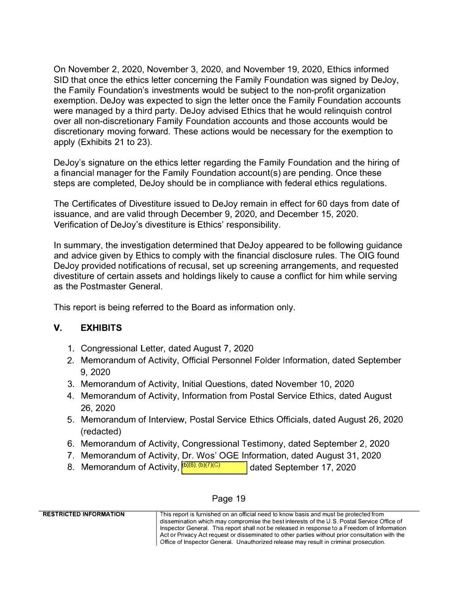On November 2, 2020, November 3, 2020, and November 19, 2020, Ethics informed SID that once the ethics letter concerning the Family Foundation was signed by DeJoy, the Family Foundation's investments would be subject to the non-profit organization exemption. DeJoy was expected to sign the letter once the Family Foundation accounts were managed by a third party. DeJoy advised Ethics that he would relinquish control over all non-discretionary Family Foundation accounts and those accounts would be discretionary moving forward. These actions would be necessary for the exemption to apply (Exhibits 21 to 23).

DeJoy's signature on the ethics letter regarding the Family Foundation and the hiring of a financial manager for the Family Foundation account(s) are pending. Once these steps are completed, DeJoy should be in compliance with federal ethics regulations.

The Certificates of Divestiture issued to DeJoy remain in effect for 60 days from date of issuance, and are valid through December 9, 2020, and December 15, 2020. Verification of DeJoy's divestiture is Ethics' responsibility.

In summary, the investigation determined that DeJoy appeared to be following guidance and advice given by Ethics to comply with the financial disclosure rules. The OIG found DeJoy provided notifications of recusal, set up screening arrangements, and requested divestiture of certain assets and holdings likely to cause a conflict for him while serving as the Postmaster General.

This report is being referred to the Board as information only.

## **V. EXHIBITS**

- 1. Congressional Letter, dated August 7, 2020
- 2. Memorandum of Activity, Official Personnel Folder Information, dated September 9, 2020
- 3. Memorandum of Activity, Initial Questions, dated November 10, 2020
- 4. Memorandum of Activity, Information from Postal Service Ethics, dated August 26,2020
- 5. Memorandum of Interview, Postal Service Ethics Officials, dated August 26, 2020 (redacted)
- 6. Memorandum of Activity, Congressional Testimony, dated September 2, 2020
- 7. Memorandum of Activity, Dr. Wos' OGE Information, dated August 31, 2020
- 8. Memorandum of Activity,  $\frac{\left(5\right)\left(6\right)\left(7\right)\left(1\right)}{2\left(1\right)\left(1\right)}$ dated September 17, 2020

| <b>RESTRICTED INFORMATION</b> | This report is furnished on an official need to know basis and must be protected from           |
|-------------------------------|-------------------------------------------------------------------------------------------------|
|                               | dissemination which may compromise the best interests of the U.S. Postal Service Office of      |
|                               | Inspector General. This report shall not be released in response to a Freedom of Information    |
|                               | Act or Privacy Act request or disseminated to other parties without prior consultation with the |
|                               | Office of Inspector General. Unauthorized release may result in criminal prosecution.           |